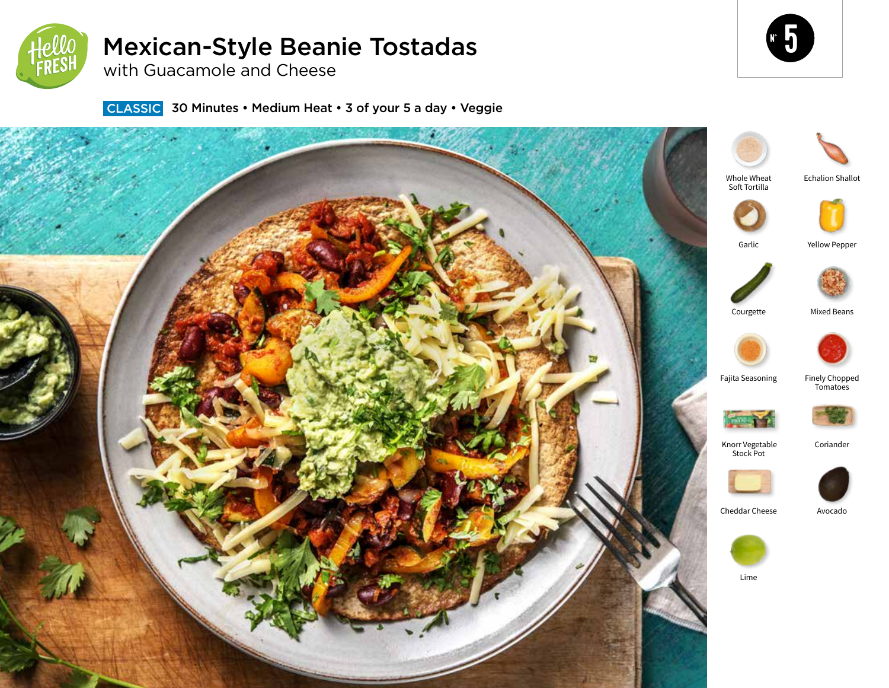

# Mexican-Style Beanie Tostadas

with Guacamole and Cheese

**CLASSIC** 30 Minutes • Medium Heat • 3 of your 5 a day • Veggie



5